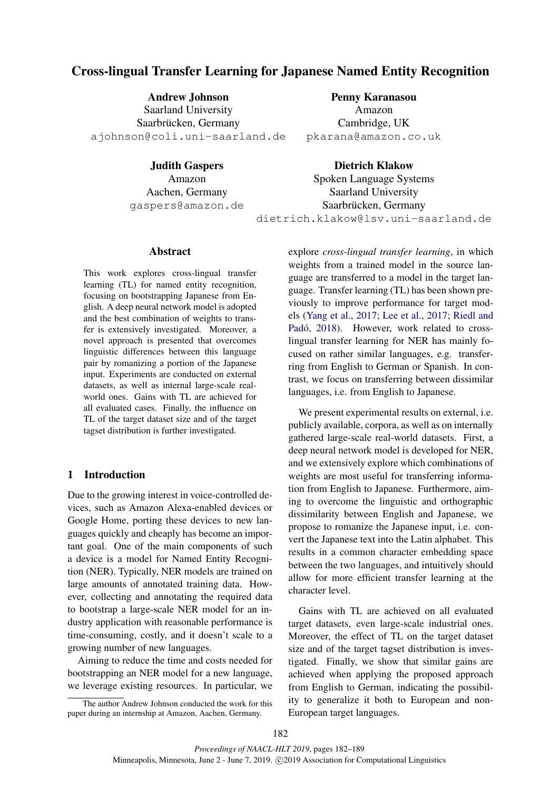# Cross-lingual Transfer Learning for Japanese Named Entity Recognition

Andrew Johnson Saarland University Saarbrücken, Germany ajohnson@coli.uni-saarland.de

Judith Gaspers

Amazon Aachen, Germany gaspers@amazon.de Penny Karanasou

Amazon Cambridge, UK pkarana@amazon.co.uk

Dietrich Klakow Spoken Language Systems Saarland University Saarbrücken, Germany dietrich.klakow@lsv.uni-saarland.de

## Abstract

This work explores cross-lingual transfer learning (TL) for named entity recognition, focusing on bootstrapping Japanese from English. A deep neural network model is adopted and the best combination of weights to transfer is extensively investigated. Moreover, a novel approach is presented that overcomes linguistic differences between this language pair by romanizing a portion of the Japanese input. Experiments are conducted on external datasets, as well as internal large-scale realworld ones. Gains with TL are achieved for all evaluated cases. Finally, the influence on TL of the target dataset size and of the target tagset distribution is further investigated.

## 1 Introduction

Due to the growing interest in voice-controlled devices, such as Amazon Alexa-enabled devices or Google Home, porting these devices to new languages quickly and cheaply has become an important goal. One of the main components of such a device is a model for Named Entity Recognition (NER). Typically, NER models are trained on large amounts of annotated training data. However, collecting and annotating the required data to bootstrap a large-scale NER model for an industry application with reasonable performance is time-consuming, costly, and it doesn't scale to a growing number of new languages.

Aiming to reduce the time and costs needed for bootstrapping an NER model for a new language, we leverage existing resources. In particular, we explore *cross-lingual transfer learning*, in which weights from a trained model in the source language are transferred to a model in the target language. Transfer learning (TL) has been shown previously to improve performance for target models [\(Yang et al.,](#page-7-0) [2017;](#page-7-0) [Lee et al.,](#page-6-0) [2017;](#page-6-0) [Riedl and](#page-7-1) Padó, [2018\)](#page-7-1). However, work related to crosslingual transfer learning for NER has mainly focused on rather similar languages, e.g. transferring from English to German or Spanish. In contrast, we focus on transferring between dissimilar languages, i.e. from English to Japanese.

We present experimental results on external, *i.e.* publicly available, corpora, as well as on internally gathered large-scale real-world datasets. First, a deep neural network model is developed for NER, and we extensively explore which combinations of weights are most useful for transferring information from English to Japanese. Furthermore, aiming to overcome the linguistic and orthographic dissimilarity between English and Japanese, we propose to romanize the Japanese input, i.e. convert the Japanese text into the Latin alphabet. This results in a common character embedding space between the two languages, and intuitively should allow for more efficient transfer learning at the character level.

Gains with TL are achieved on all evaluated target datasets, even large-scale industrial ones. Moreover, the effect of TL on the target dataset size and of the target tagset distribution is investigated. Finally, we show that similar gains are achieved when applying the proposed approach from English to German, indicating the possibility to generalize it both to European and non-European target languages.

The author Andrew Johnson conducted the work for this paper during an internship at Amazon, Aachen, Germany.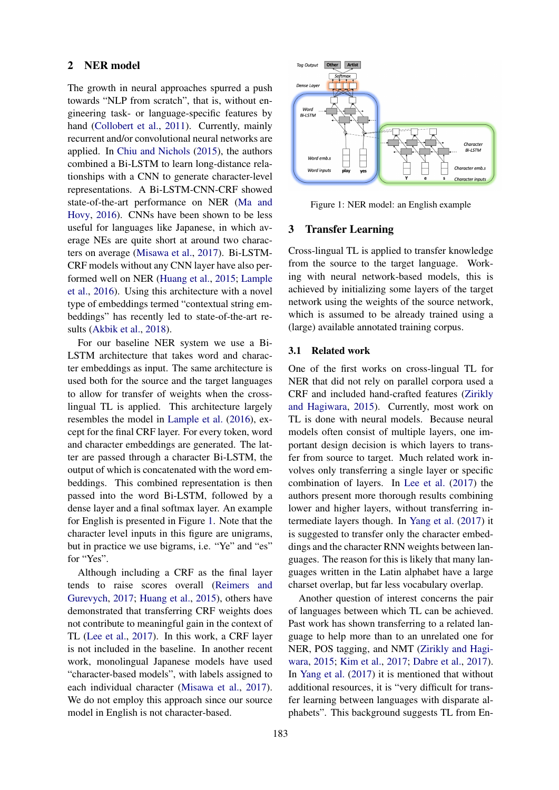#### 2 NER model

The growth in neural approaches spurred a push towards "NLP from scratch", that is, without engineering task- or language-specific features by hand [\(Collobert et al.,](#page-6-1) [2011\)](#page-6-1). Currently, mainly recurrent and/or convolutional neural networks are applied. In [Chiu and Nichols](#page-6-2) [\(2015\)](#page-6-2), the authors combined a Bi-LSTM to learn long-distance relationships with a CNN to generate character-level representations. A Bi-LSTM-CNN-CRF showed state-of-the-art performance on NER [\(Ma and](#page-6-3) [Hovy,](#page-6-3) [2016\)](#page-6-3). CNNs have been shown to be less useful for languages like Japanese, in which average NEs are quite short at around two characters on average [\(Misawa et al.,](#page-6-4) [2017\)](#page-6-4). Bi-LSTM-CRF models without any CNN layer have also performed well on NER [\(Huang et al.,](#page-6-5) [2015;](#page-6-5) [Lample](#page-6-6) [et al.,](#page-6-6) [2016\)](#page-6-6). Using this architecture with a novel type of embeddings termed "contextual string embeddings" has recently led to state-of-the-art results [\(Akbik et al.,](#page-6-7) [2018\)](#page-6-7).

For our baseline NER system we use a Bi-LSTM architecture that takes word and character embeddings as input. The same architecture is used both for the source and the target languages to allow for transfer of weights when the crosslingual TL is applied. This architecture largely resembles the model in [Lample et al.](#page-6-6) [\(2016\)](#page-6-6), except for the final CRF layer. For every token, word and character embeddings are generated. The latter are passed through a character Bi-LSTM, the output of which is concatenated with the word embeddings. This combined representation is then passed into the word Bi-LSTM, followed by a dense layer and a final softmax layer. An example for English is presented in Figure [1.](#page-1-0) Note that the character level inputs in this figure are unigrams, but in practice we use bigrams, i.e. "Ye" and "es" for "Yes".

Although including a CRF as the final layer tends to raise scores overall [\(Reimers and](#page-6-8) [Gurevych,](#page-6-8) [2017;](#page-6-8) [Huang et al.,](#page-6-5) [2015\)](#page-6-5), others have demonstrated that transferring CRF weights does not contribute to meaningful gain in the context of TL [\(Lee et al.,](#page-6-0) [2017\)](#page-6-0). In this work, a CRF layer is not included in the baseline. In another recent work, monolingual Japanese models have used "character-based models", with labels assigned to each individual character [\(Misawa et al.,](#page-6-4) [2017\)](#page-6-4). We do not employ this approach since our source model in English is not character-based.

<span id="page-1-0"></span>

Figure 1: NER model: an English example

#### 3 Transfer Learning

Cross-lingual TL is applied to transfer knowledge from the source to the target language. Working with neural network-based models, this is achieved by initializing some layers of the target network using the weights of the source network, which is assumed to be already trained using a (large) available annotated training corpus.

#### 3.1 Related work

One of the first works on cross-lingual TL for NER that did not rely on parallel corpora used a CRF and included hand-crafted features [\(Zirikly](#page-7-2) [and Hagiwara,](#page-7-2) [2015\)](#page-7-2). Currently, most work on TL is done with neural models. Because neural models often consist of multiple layers, one important design decision is which layers to transfer from source to target. Much related work involves only transferring a single layer or specific combination of layers. In [Lee et al.](#page-6-0) [\(2017\)](#page-6-0) the authors present more thorough results combining lower and higher layers, without transferring intermediate layers though. In [Yang et al.](#page-7-0) [\(2017\)](#page-7-0) it is suggested to transfer only the character embeddings and the character RNN weights between languages. The reason for this is likely that many languages written in the Latin alphabet have a large charset overlap, but far less vocabulary overlap.

Another question of interest concerns the pair of languages between which TL can be achieved. Past work has shown transferring to a related language to help more than to an unrelated one for NER, POS tagging, and NMT [\(Zirikly and Hagi](#page-7-2)[wara,](#page-7-2) [2015;](#page-7-2) [Kim et al.,](#page-6-9) [2017;](#page-6-9) [Dabre et al.,](#page-6-10) [2017\)](#page-6-10). In [Yang et al.](#page-7-0) [\(2017\)](#page-7-0) it is mentioned that without additional resources, it is "very difficult for transfer learning between languages with disparate alphabets". This background suggests TL from En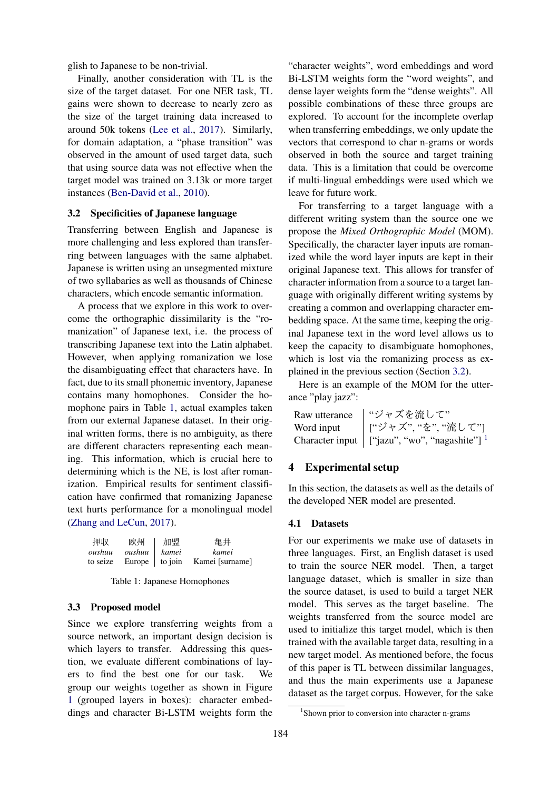glish to Japanese to be non-trivial.

Finally, another consideration with TL is the size of the target dataset. For one NER task, TL gains were shown to decrease to nearly zero as the size of the target training data increased to around 50k tokens [\(Lee et al.,](#page-6-0) [2017\)](#page-6-0). Similarly, for domain adaptation, a "phase transition" was observed in the amount of used target data, such that using source data was not effective when the target model was trained on 3.13k or more target instances [\(Ben-David et al.,](#page-6-11) [2010\)](#page-6-11).

## <span id="page-2-1"></span>3.2 Specificities of Japanese language

Transferring between English and Japanese is more challenging and less explored than transferring between languages with the same alphabet. Japanese is written using an unsegmented mixture of two syllabaries as well as thousands of Chinese characters, which encode semantic information.

A process that we explore in this work to overcome the orthographic dissimilarity is the "romanization" of Japanese text, i.e. the process of transcribing Japanese text into the Latin alphabet. However, when applying romanization we lose the disambiguating effect that characters have. In fact, due to its small phonemic inventory, Japanese contains many homophones. Consider the homophone pairs in Table [1,](#page-2-0) actual examples taken from our external Japanese dataset. In their original written forms, there is no ambiguity, as there are different characters representing each meaning. This information, which is crucial here to determining which is the NE, is lost after romanization. Empirical results for sentiment classification have confirmed that romanizing Japanese text hurts performance for a monolingual model [\(Zhang and LeCun,](#page-7-3) [2017\)](#page-7-3).

<span id="page-2-0"></span>

| 押収       | 欧州             | 加盟 | 亀井                               |
|----------|----------------|----|----------------------------------|
| oushuu   | oushuu   kamei |    | kamei                            |
| to seize |                |    | Europe   to join Kamei [surname] |

Table 1: Japanese Homophones

## <span id="page-2-3"></span>3.3 Proposed model

Since we explore transferring weights from a source network, an important design decision is which layers to transfer. Addressing this question, we evaluate different combinations of layers to find the best one for our task. We group our weights together as shown in Figure [1](#page-1-0) (grouped layers in boxes): character embeddings and character Bi-LSTM weights form the

"character weights", word embeddings and word Bi-LSTM weights form the "word weights", and dense layer weights form the "dense weights". All possible combinations of these three groups are explored. To account for the incomplete overlap when transferring embeddings, we only update the vectors that correspond to char n-grams or words observed in both the source and target training data. This is a limitation that could be overcome if multi-lingual embeddings were used which we leave for future work.

For transferring to a target language with a different writing system than the source one we propose the *Mixed Orthographic Model* (MOM). Specifically, the character layer inputs are romanized while the word layer inputs are kept in their original Japanese text. This allows for transfer of character information from a source to a target language with originally different writing systems by creating a common and overlapping character embedding space. At the same time, keeping the original Japanese text in the word level allows us to keep the capacity to disambiguate homophones, which is lost via the romanizing process as explained in the previous section (Section [3.2\)](#page-2-1).

Here is an example of the MOM for the utterance "play jazz":

| Raw utterance | "ジャズを流して"                                                     |
|---------------|---------------------------------------------------------------|
| Word input    | │ ["ジャズ", "を", "流して"]                                         |
|               | Character input $ $ ["jazu", "wo", "nagashite"] $\frac{1}{1}$ |

## 4 Experimental setup

In this section, the datasets as well as the details of the developed NER model are presented.

## 4.1 Datasets

For our experiments we make use of datasets in three languages. First, an English dataset is used to train the source NER model. Then, a target language dataset, which is smaller in size than the source dataset, is used to build a target NER model. This serves as the target baseline. The weights transferred from the source model are used to initialize this target model, which is then trained with the available target data, resulting in a new target model. As mentioned before, the focus of this paper is TL between dissimilar languages, and thus the main experiments use a Japanese dataset as the target corpus. However, for the sake

<span id="page-2-2"></span><sup>&</sup>lt;sup>1</sup>Shown prior to conversion into character n-grams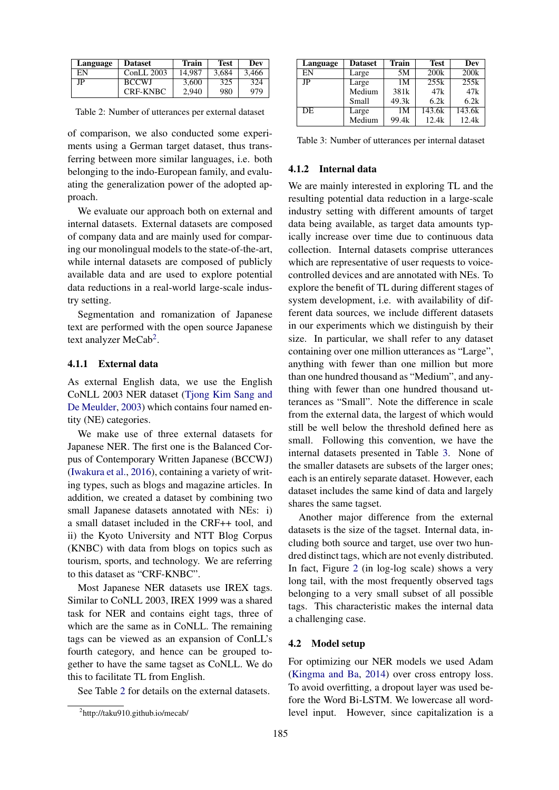<span id="page-3-1"></span>

| Language | <b>Dataset</b>  | <b>Train</b> | Test  | Dev   |
|----------|-----------------|--------------|-------|-------|
| ΕN       | $ConLL$ 2003    | 14.987       | 3.684 | 3.466 |
| JΡ       | <b>BCCWJ</b>    | 3.600        | 325   | 324   |
|          | <b>CRF-KNBC</b> | 2,940        | 980   | 979   |

Table 2: Number of utterances per external dataset

of comparison, we also conducted some experiments using a German target dataset, thus transferring between more similar languages, i.e. both belonging to the indo-European family, and evaluating the generalization power of the adopted approach.

We evaluate our approach both on external and internal datasets. External datasets are composed of company data and are mainly used for comparing our monolingual models to the state-of-the-art, while internal datasets are composed of publicly available data and are used to explore potential data reductions in a real-world large-scale industry setting.

Segmentation and romanization of Japanese text are performed with the open source Japanese text analyzer MeCab<sup>[2](#page-3-0)</sup>.

## 4.1.1 External data

As external English data, we use the English CoNLL 2003 NER dataset [\(Tjong Kim Sang and](#page-7-4) [De Meulder,](#page-7-4) [2003\)](#page-7-4) which contains four named entity (NE) categories.

We make use of three external datasets for Japanese NER. The first one is the Balanced Corpus of Contemporary Written Japanese (BCCWJ) [\(Iwakura et al.,](#page-6-12) [2016\)](#page-6-12), containing a variety of writing types, such as blogs and magazine articles. In addition, we created a dataset by combining two small Japanese datasets annotated with NEs: i) a small dataset included in the CRF++ tool, and ii) the Kyoto University and NTT Blog Corpus (KNBC) with data from blogs on topics such as tourism, sports, and technology. We are referring to this dataset as "CRF-KNBC".

Most Japanese NER datasets use IREX tags. Similar to CoNLL 2003, IREX 1999 was a shared task for NER and contains eight tags, three of which are the same as in CoNLL. The remaining tags can be viewed as an expansion of ConLL's fourth category, and hence can be grouped together to have the same tagset as CoNLL. We do this to facilitate TL from English.

See Table [2](#page-3-1) for details on the external datasets.

<span id="page-3-2"></span>

| Language | <b>Dataset</b> | <b>Train</b> | <b>Test</b> | Dev    |
|----------|----------------|--------------|-------------|--------|
| EN       | Large          | 5M           | 200k        | 200k   |
| JP       | Large          | 1M           | 255k        | 255k   |
|          | Medium         | 381k         | 47k         | 47k    |
|          | Small          | 49.3k        | 6.2k        | 6.2k   |
| DE       | Large          | 1M           | 143.6k      | 143.6k |
|          | Medium         | 99.4k        | 12.4k       | 12.4k  |

Table 3: Number of utterances per internal dataset

## 4.1.2 Internal data

We are mainly interested in exploring TL and the resulting potential data reduction in a large-scale industry setting with different amounts of target data being available, as target data amounts typically increase over time due to continuous data collection. Internal datasets comprise utterances which are representative of user requests to voicecontrolled devices and are annotated with NEs. To explore the benefit of TL during different stages of system development, i.e. with availability of different data sources, we include different datasets in our experiments which we distinguish by their size. In particular, we shall refer to any dataset containing over one million utterances as "Large", anything with fewer than one million but more than one hundred thousand as "Medium", and anything with fewer than one hundred thousand utterances as "Small". Note the difference in scale from the external data, the largest of which would still be well below the threshold defined here as small. Following this convention, we have the internal datasets presented in Table [3.](#page-3-2) None of the smaller datasets are subsets of the larger ones; each is an entirely separate dataset. However, each dataset includes the same kind of data and largely shares the same tagset.

Another major difference from the external datasets is the size of the tagset. Internal data, including both source and target, use over two hundred distinct tags, which are not evenly distributed. In fact, Figure [2](#page-4-0) (in log-log scale) shows a very long tail, with the most frequently observed tags belonging to a very small subset of all possible tags. This characteristic makes the internal data a challenging case.

## <span id="page-3-3"></span>4.2 Model setup

For optimizing our NER models we used Adam [\(Kingma and Ba,](#page-6-13) [2014\)](#page-6-13) over cross entropy loss. To avoid overfitting, a dropout layer was used before the Word Bi-LSTM. We lowercase all wordlevel input. However, since capitalization is a

<span id="page-3-0"></span><sup>2</sup> http://taku910.github.io/mecab/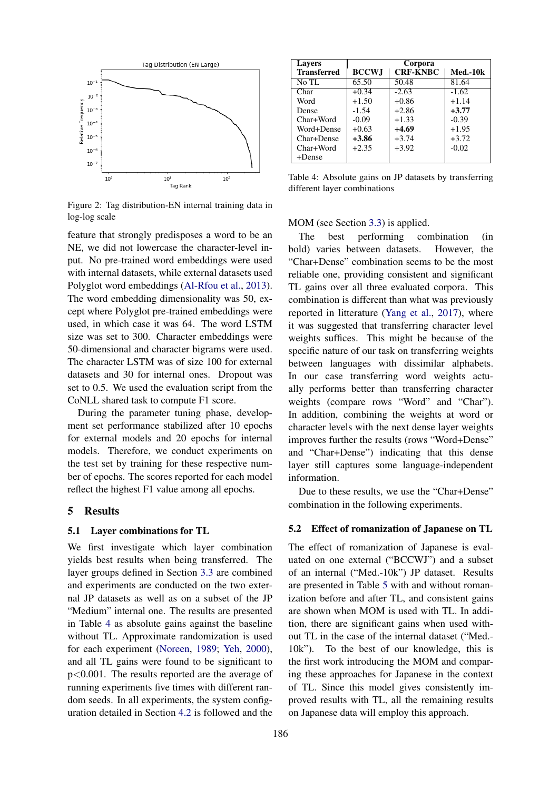<span id="page-4-0"></span>

Figure 2: Tag distribution-EN internal training data in log-log scale

feature that strongly predisposes a word to be an NE, we did not lowercase the character-level input. No pre-trained word embeddings were used with internal datasets, while external datasets used Polyglot word embeddings [\(Al-Rfou et al.,](#page-6-14) [2013\)](#page-6-14). The word embedding dimensionality was 50, except where Polyglot pre-trained embeddings were used, in which case it was 64. The word LSTM size was set to 300. Character embeddings were 50-dimensional and character bigrams were used. The character LSTM was of size 100 for external datasets and 30 for internal ones. Dropout was set to 0.5. We used the evaluation script from the CoNLL shared task to compute F1 score.

During the parameter tuning phase, development set performance stabilized after 10 epochs for external models and 20 epochs for internal models. Therefore, we conduct experiments on the test set by training for these respective number of epochs. The scores reported for each model reflect the highest F1 value among all epochs.

## 5 Results

#### 5.1 Layer combinations for TL

We first investigate which layer combination yields best results when being transferred. The layer groups defined in Section [3.3](#page-2-3) are combined and experiments are conducted on the two external JP datasets as well as on a subset of the JP "Medium" internal one. The results are presented in Table [4](#page-4-1) as absolute gains against the baseline without TL. Approximate randomization is used for each experiment [\(Noreen,](#page-6-15) [1989;](#page-6-15) [Yeh,](#page-7-5) [2000\)](#page-7-5), and all TL gains were found to be significant to p<0.001. The results reported are the average of running experiments five times with different random seeds. In all experiments, the system configuration detailed in Section [4.2](#page-3-3) is followed and the

<span id="page-4-1"></span>

| <b>Lavers</b>      | Corpora      |                 |            |  |
|--------------------|--------------|-----------------|------------|--|
| <b>Transferred</b> | <b>BCCWJ</b> | <b>CRF-KNBC</b> | $Med.-10k$ |  |
| No TL              | 65.50        | 50.48           | 81.64      |  |
| Char               | $+0.34$      | $-2.63$         | $-1.62$    |  |
| Word               | $+1.50$      | $+0.86$         | $+1.14$    |  |
| Dense              | $-1.54$      | $+2.86$         | $+3.77$    |  |
| Char+Word          | $-0.09$      | $+1.33$         | $-0.39$    |  |
| Word+Dense         | $+0.63$      | $+4.69$         | $+1.95$    |  |
| Char+Dense         | $+3.86$      | $+3.74$         | $+3.72$    |  |
| Char+Word          | $+2.35$      | $+3.92$         | $-0.02$    |  |
| $+Dense$           |              |                 |            |  |

Table 4: Absolute gains on JP datasets by transferring different layer combinations

MOM (see Section [3.3\)](#page-2-3) is applied.

The best performing combination (in bold) varies between datasets. However, the "Char+Dense" combination seems to be the most reliable one, providing consistent and significant TL gains over all three evaluated corpora. This combination is different than what was previously reported in litterature [\(Yang et al.,](#page-7-0) [2017\)](#page-7-0), where it was suggested that transferring character level weights suffices. This might be because of the specific nature of our task on transferring weights between languages with dissimilar alphabets. In our case transferring word weights actually performs better than transferring character weights (compare rows "Word" and "Char"). In addition, combining the weights at word or character levels with the next dense layer weights improves further the results (rows "Word+Dense" and "Char+Dense") indicating that this dense layer still captures some language-independent information.

Due to these results, we use the "Char+Dense" combination in the following experiments.

#### 5.2 Effect of romanization of Japanese on TL

The effect of romanization of Japanese is evaluated on one external ("BCCWJ") and a subset of an internal ("Med.-10k") JP dataset. Results are presented in Table [5](#page-5-0) with and without romanization before and after TL, and consistent gains are shown when MOM is used with TL. In addition, there are significant gains when used without TL in the case of the internal dataset ("Med.- 10k"). To the best of our knowledge, this is the first work introducing the MOM and comparing these approaches for Japanese in the context of TL. Since this model gives consistently improved results with TL, all the remaining results on Japanese data will employ this approach.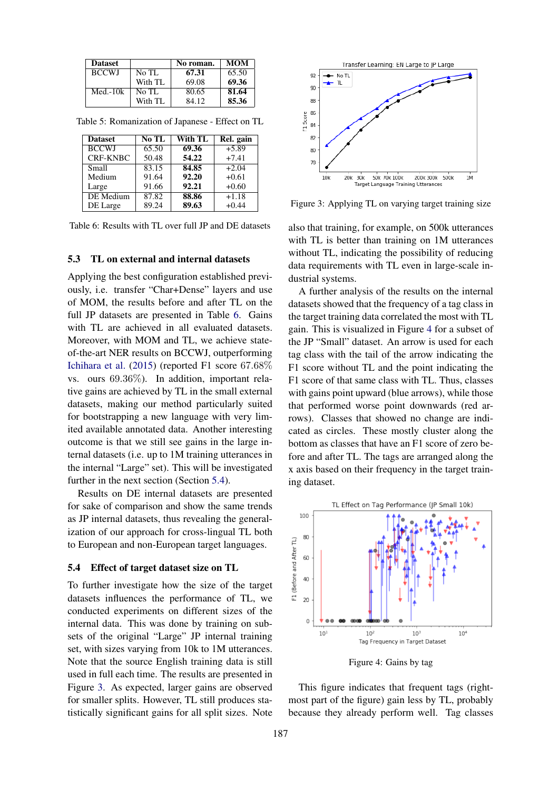<span id="page-5-0"></span>

| <b>Dataset</b> |         | No roman. | <b>MOM</b> |
|----------------|---------|-----------|------------|
| <b>BCCWJ</b>   | No TL   | 67.31     | 65.50      |
|                | With TL | 69.08     | 69.36      |
| Med.- $10k$    | No TL   | 80.65     | 81.64      |
|                | With TL | 84.12     | 85.36      |

<span id="page-5-1"></span>Table 5: Romanization of Japanese - Effect on TL

| <b>Dataset</b>  | No TL | With TL | Rel. gain |
|-----------------|-------|---------|-----------|
| <b>BCCWJ</b>    | 65.50 | 69.36   | $+5.89$   |
| <b>CRF-KNBC</b> | 50.48 | 54.22   | $+7.41$   |
| Small           | 83.15 | 84.85   | $+2.04$   |
| Medium          | 91.64 | 92.20   | $+0.61$   |
| Large           | 91.66 | 92.21   | $+0.60$   |
| DE Medium       | 87.82 | 88.86   | $+1.18$   |
| DE Large        | 89.24 | 89.63   | $+0.44$   |

Table 6: Results with TL over full JP and DE datasets

#### 5.3 TL on external and internal datasets

Applying the best configuration established previously, i.e. transfer "Char+Dense" layers and use of MOM, the results before and after TL on the full JP datasets are presented in Table [6.](#page-5-1) Gains with TL are achieved in all evaluated datasets. Moreover, with MOM and TL, we achieve stateof-the-art NER results on BCCWJ, outperforming [Ichihara et al.](#page-6-16) [\(2015\)](#page-6-16) (reported F1 score 67.68% vs. ours 69.36%). In addition, important relative gains are achieved by TL in the small external datasets, making our method particularly suited for bootstrapping a new language with very limited available annotated data. Another interesting outcome is that we still see gains in the large internal datasets (i.e. up to 1M training utterances in the internal "Large" set). This will be investigated further in the next section (Section [5.4\)](#page-5-2).

Results on DE internal datasets are presented for sake of comparison and show the same trends as JP internal datasets, thus revealing the generalization of our approach for cross-lingual TL both to European and non-European target languages.

#### <span id="page-5-2"></span>5.4 Effect of target dataset size on TL

To further investigate how the size of the target datasets influences the performance of TL, we conducted experiments on different sizes of the internal data. This was done by training on subsets of the original "Large" JP internal training set, with sizes varying from 10k to 1M utterances. Note that the source English training data is still used in full each time. The results are presented in Figure [3.](#page-5-3) As expected, larger gains are observed for smaller splits. However, TL still produces statistically significant gains for all split sizes. Note

<span id="page-5-3"></span>

Figure 3: Applying TL on varying target training size

also that training, for example, on 500k utterances with TL is better than training on 1M utterances without TL, indicating the possibility of reducing data requirements with TL even in large-scale industrial systems.

A further analysis of the results on the internal datasets showed that the frequency of a tag class in the target training data correlated the most with TL gain. This is visualized in Figure [4](#page-5-4) for a subset of the JP "Small" dataset. An arrow is used for each tag class with the tail of the arrow indicating the F1 score without TL and the point indicating the F1 score of that same class with TL. Thus, classes with gains point upward (blue arrows), while those that performed worse point downwards (red arrows). Classes that showed no change are indicated as circles. These mostly cluster along the bottom as classes that have an F1 score of zero before and after TL. The tags are arranged along the x axis based on their frequency in the target training dataset.

<span id="page-5-4"></span>![](_page_5_Figure_13.jpeg)

Figure 4: Gains by tag

This figure indicates that frequent tags (rightmost part of the figure) gain less by TL, probably because they already perform well. Tag classes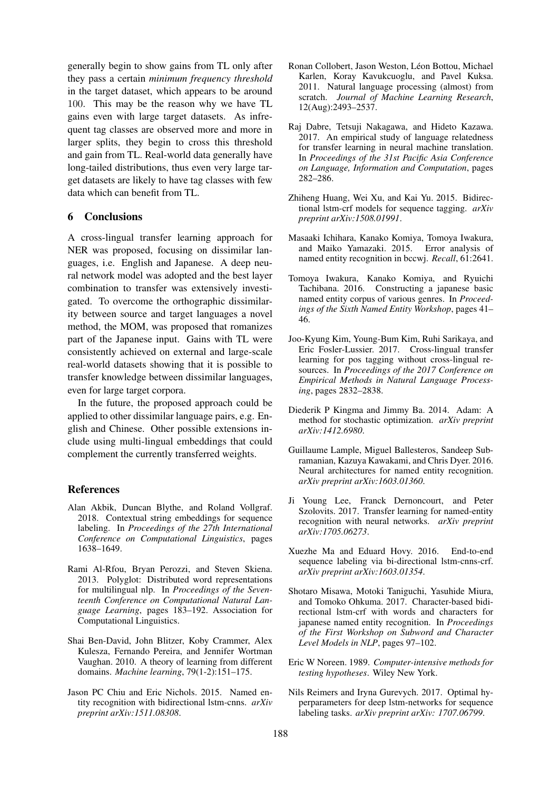generally begin to show gains from TL only after they pass a certain *minimum frequency threshold* in the target dataset, which appears to be around 100. This may be the reason why we have TL gains even with large target datasets. As infrequent tag classes are observed more and more in larger splits, they begin to cross this threshold and gain from TL. Real-world data generally have long-tailed distributions, thus even very large target datasets are likely to have tag classes with few data which can benefit from TL.

## 6 Conclusions

A cross-lingual transfer learning approach for NER was proposed, focusing on dissimilar languages, i.e. English and Japanese. A deep neural network model was adopted and the best layer combination to transfer was extensively investigated. To overcome the orthographic dissimilarity between source and target languages a novel method, the MOM, was proposed that romanizes part of the Japanese input. Gains with TL were consistently achieved on external and large-scale real-world datasets showing that it is possible to transfer knowledge between dissimilar languages, even for large target corpora.

In the future, the proposed approach could be applied to other dissimilar language pairs, e.g. English and Chinese. Other possible extensions include using multi-lingual embeddings that could complement the currently transferred weights.

#### References

- <span id="page-6-7"></span>Alan Akbik, Duncan Blythe, and Roland Vollgraf. 2018. Contextual string embeddings for sequence labeling. In *Proceedings of the 27th International Conference on Computational Linguistics*, pages 1638–1649.
- <span id="page-6-14"></span>Rami Al-Rfou, Bryan Perozzi, and Steven Skiena. 2013. Polyglot: Distributed word representations for multilingual nlp. In *Proceedings of the Seventeenth Conference on Computational Natural Language Learning*, pages 183–192. Association for Computational Linguistics.
- <span id="page-6-11"></span>Shai Ben-David, John Blitzer, Koby Crammer, Alex Kulesza, Fernando Pereira, and Jennifer Wortman Vaughan. 2010. A theory of learning from different domains. *Machine learning*, 79(1-2):151–175.
- <span id="page-6-2"></span>Jason PC Chiu and Eric Nichols. 2015. Named entity recognition with bidirectional lstm-cnns. *arXiv preprint arXiv:1511.08308*.
- <span id="page-6-1"></span>Ronan Collobert, Jason Weston, Léon Bottou, Michael Karlen, Koray Kavukcuoglu, and Pavel Kuksa. 2011. Natural language processing (almost) from scratch. *Journal of Machine Learning Research*, 12(Aug):2493–2537.
- <span id="page-6-10"></span>Raj Dabre, Tetsuji Nakagawa, and Hideto Kazawa. 2017. An empirical study of language relatedness for transfer learning in neural machine translation. In *Proceedings of the 31st Pacific Asia Conference on Language, Information and Computation*, pages 282–286.
- <span id="page-6-5"></span>Zhiheng Huang, Wei Xu, and Kai Yu. 2015. Bidirectional lstm-crf models for sequence tagging. *arXiv preprint arXiv:1508.01991*.
- <span id="page-6-16"></span>Masaaki Ichihara, Kanako Komiya, Tomoya Iwakura, and Maiko Yamazaki. 2015. Error analysis of named entity recognition in bccwj. *Recall*, 61:2641.
- <span id="page-6-12"></span>Tomoya Iwakura, Kanako Komiya, and Ryuichi Tachibana. 2016. Constructing a japanese basic named entity corpus of various genres. In *Proceedings of the Sixth Named Entity Workshop*, pages 41– 46.
- <span id="page-6-9"></span>Joo-Kyung Kim, Young-Bum Kim, Ruhi Sarikaya, and Eric Fosler-Lussier. 2017. Cross-lingual transfer learning for pos tagging without cross-lingual resources. In *Proceedings of the 2017 Conference on Empirical Methods in Natural Language Processing*, pages 2832–2838.
- <span id="page-6-13"></span>Diederik P Kingma and Jimmy Ba. 2014. Adam: A method for stochastic optimization. *arXiv preprint arXiv:1412.6980*.
- <span id="page-6-6"></span>Guillaume Lample, Miguel Ballesteros, Sandeep Subramanian, Kazuya Kawakami, and Chris Dyer. 2016. Neural architectures for named entity recognition. *arXiv preprint arXiv:1603.01360*.
- <span id="page-6-0"></span>Ji Young Lee, Franck Dernoncourt, and Peter Szolovits. 2017. Transfer learning for named-entity recognition with neural networks. *arXiv preprint arXiv:1705.06273*.
- <span id="page-6-3"></span>Xuezhe Ma and Eduard Hovy. 2016. End-to-end sequence labeling via bi-directional lstm-cnns-crf. *arXiv preprint arXiv:1603.01354*.
- <span id="page-6-4"></span>Shotaro Misawa, Motoki Taniguchi, Yasuhide Miura, and Tomoko Ohkuma. 2017. Character-based bidirectional lstm-crf with words and characters for japanese named entity recognition. In *Proceedings of the First Workshop on Subword and Character Level Models in NLP*, pages 97–102.
- <span id="page-6-15"></span>Eric W Noreen. 1989. *Computer-intensive methods for testing hypotheses*. Wiley New York.
- <span id="page-6-8"></span>Nils Reimers and Iryna Gurevych. 2017. Optimal hyperparameters for deep lstm-networks for sequence labeling tasks. *arXiv preprint arXiv: 1707.06799*.